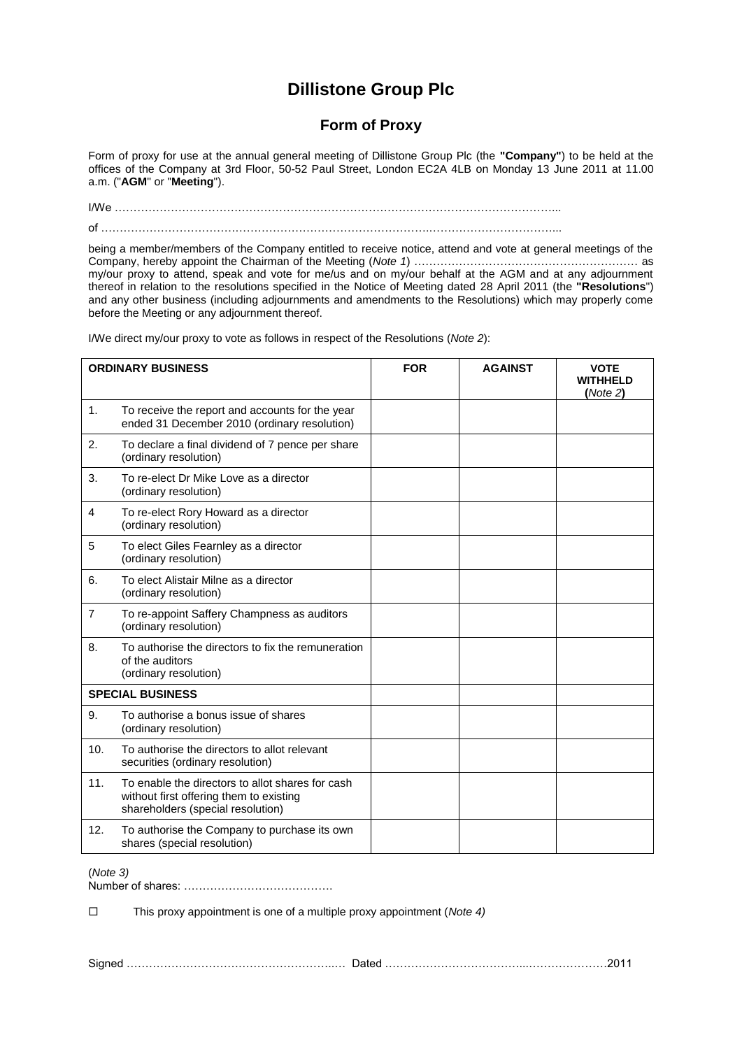## **Dillistone Group Plc**

## **Form of Proxy**

Form of proxy for use at the annual general meeting of Dillistone Group Plc (the **"Company"**) to be held at the offices of the Company at 3rd Floor, 50-52 Paul Street, London EC2A 4LB on Monday 13 June 2011 at 11.00 a.m. ("**AGM**" or "**Meeting**").

I/We ………………………………………………………………………………………………………... of …………………………………………………………………………….……………………………...

being a member/members of the Company entitled to receive notice, attend and vote at general meetings of the Company, hereby appoint the Chairman of the Meeting (*Note 1*) …………………………………………………… as my/our proxy to attend, speak and vote for me/us and on my/our behalf at the AGM and at any adjournment thereof in relation to the resolutions specified in the Notice of Meeting dated 28 April 2011 (the **"Resolutions**") and any other business (including adjournments and amendments to the Resolutions) which may properly come before the Meeting or any adjournment thereof.

| <b>ORDINARY BUSINESS</b> |                                                                                                                                  | <b>FOR</b> | <b>AGAINST</b> | <b>VOTE</b><br><b>WITHHELD</b><br>(Note 2) |
|--------------------------|----------------------------------------------------------------------------------------------------------------------------------|------------|----------------|--------------------------------------------|
| 1.                       | To receive the report and accounts for the year<br>ended 31 December 2010 (ordinary resolution)                                  |            |                |                                            |
| 2.                       | To declare a final dividend of 7 pence per share<br>(ordinary resolution)                                                        |            |                |                                            |
| 3.                       | To re-elect Dr Mike Love as a director<br>(ordinary resolution)                                                                  |            |                |                                            |
| 4                        | To re-elect Rory Howard as a director<br>(ordinary resolution)                                                                   |            |                |                                            |
| 5                        | To elect Giles Fearnley as a director<br>(ordinary resolution)                                                                   |            |                |                                            |
| 6.                       | To elect Alistair Milne as a director<br>(ordinary resolution)                                                                   |            |                |                                            |
| $\overline{7}$           | To re-appoint Saffery Champness as auditors<br>(ordinary resolution)                                                             |            |                |                                            |
| 8.                       | To authorise the directors to fix the remuneration<br>of the auditors<br>(ordinary resolution)                                   |            |                |                                            |
| <b>SPECIAL BUSINESS</b>  |                                                                                                                                  |            |                |                                            |
| 9.                       | To authorise a bonus issue of shares<br>(ordinary resolution)                                                                    |            |                |                                            |
| 10.                      | To authorise the directors to allot relevant<br>securities (ordinary resolution)                                                 |            |                |                                            |
| 11.                      | To enable the directors to allot shares for cash<br>without first offering them to existing<br>shareholders (special resolution) |            |                |                                            |
| 12.                      | To authorise the Company to purchase its own<br>shares (special resolution)                                                      |            |                |                                            |

I/We direct my/our proxy to vote as follows in respect of the Resolutions (*Note 2*):

(*Note 3)*

Number of shares: ………………………………….

This proxy appointment is one of a multiple proxy appointment (*Note 4)*

Signed ………………………………………………..… Dated ………………………………...…………………2011